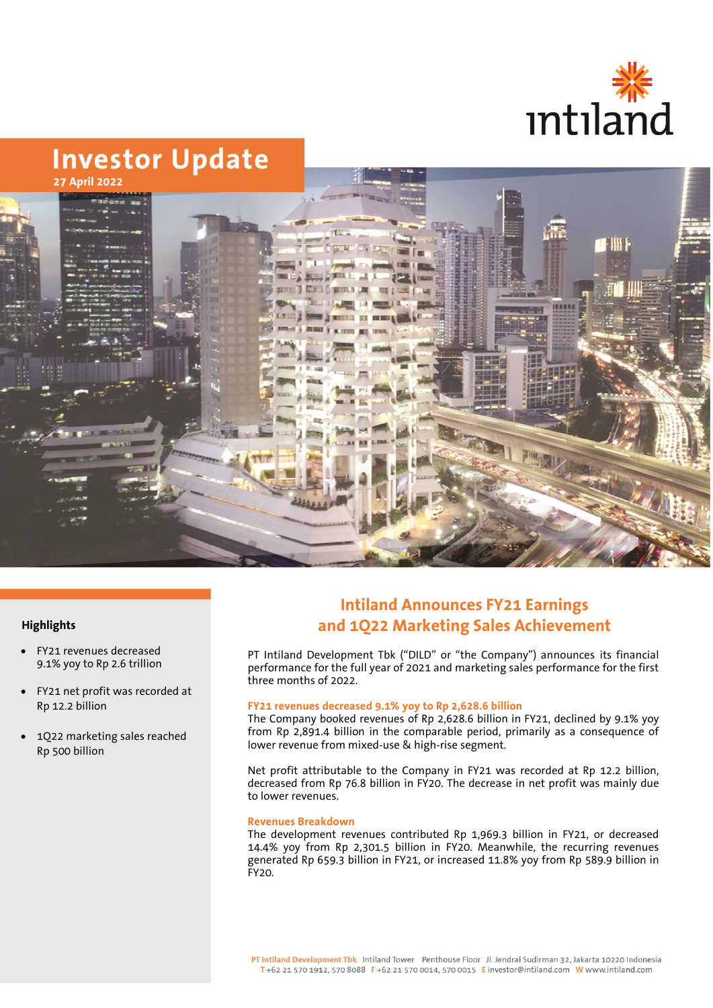



## **Highlights**

- FY21 revenues decreased 9.1% yoy to Rp 2.6 trillion
- FY21 net profit was recorded at Rp 12.2 billion
- 1Q22 marketing sales reached Rp 500 billion

# **Intiland Announces FY21 Earnings and 1Q22 Marketing Sales Achievement**

PT Intiland Development Tbk ("DILD" or "the Company") announces its financial performance for the full year of 2021 and marketing sales performance for the first three months of 2022.

# **FY21 revenues decreased 9.1% yoy to Rp 2,628.6 billion**

The Company booked revenues of Rp 2,628.6 billion in FY21, declined by 9.1% yoy from Rp 2,891.4 billion in the comparable period, primarily as a consequence of lower revenue from mixed-use & high-rise segment.

Net profit attributable to the Company in FY21 was recorded at Rp 12.2 billion, decreased from Rp 76.8 billion in FY20. The decrease in net profit was mainly due to lower revenues.

#### **Revenues Breakdown**

The development revenues contributed Rp 1,969.3 billion in FY21, or decreased 14.4% yoy from Rp 2,301.5 billion in FY20. Meanwhile, the recurring revenues generated Rp 659.3 billion in FY21, or increased 11.8% yoy from Rp 589.9 billion in FY20.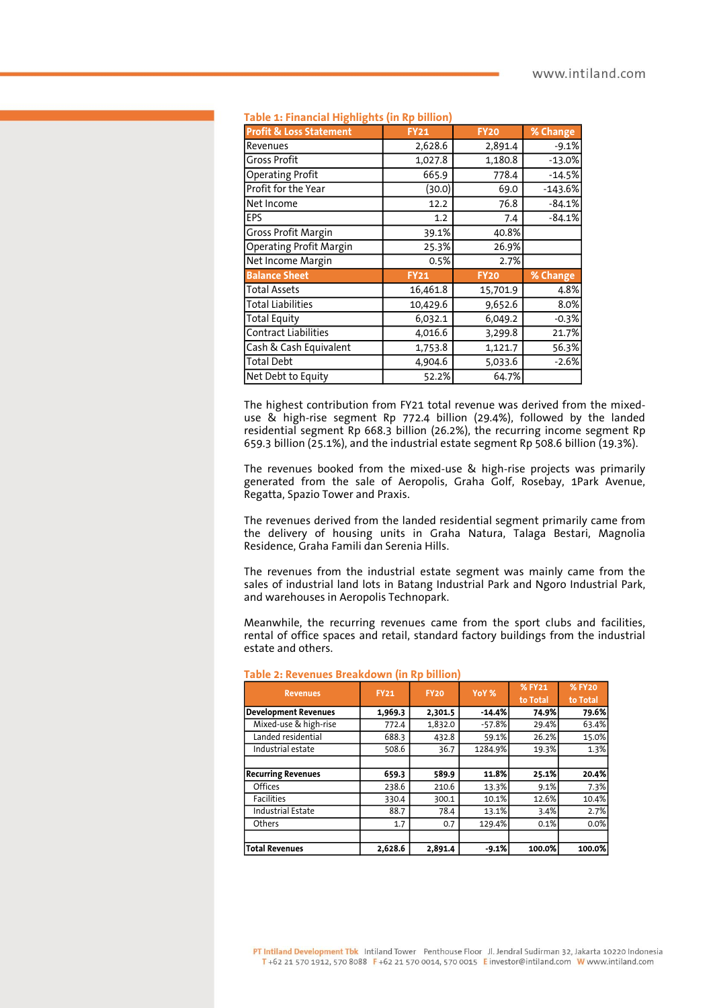| Table 1: Financial Highlights (in Rp billion |             |             |           |  |  |  |
|----------------------------------------------|-------------|-------------|-----------|--|--|--|
| <b>Profit &amp; Loss Statement</b>           | <b>FY21</b> | <b>FY20</b> | % Change  |  |  |  |
| Revenues                                     | 2,628.6     | 2,891.4     | $-9.1%$   |  |  |  |
| <b>Gross Profit</b>                          | 1,027.8     | 1,180.8     | $-13.0%$  |  |  |  |
| <b>Operating Profit</b>                      | 665.9       | 778.4       | $-14.5%$  |  |  |  |
| Profit for the Year                          | (30.0)      | 69.0        | $-143.6%$ |  |  |  |
| Net Income                                   | 12.2        | 76.8        | $-84.1%$  |  |  |  |
| EPS                                          | 1.2         | 7.4         | $-84.1%$  |  |  |  |
| Gross Profit Margin                          | 39.1%       | 40.8%       |           |  |  |  |
| Operating Profit Margin                      | 25.3%       | 26.9%       |           |  |  |  |
| Net Income Margin                            | 0.5%        | 2.7%        |           |  |  |  |
| <b>Balance Sheet</b>                         | <b>FY21</b> | <b>FY20</b> | % Change  |  |  |  |
| <b>Total Assets</b>                          | 16,461.8    | 15,701.9    | 4.8%      |  |  |  |
| <b>Total Liabilities</b>                     | 10,429.6    | 9,652.6     | 8.0%      |  |  |  |
| <b>Total Equity</b>                          | 6,032.1     | 6,049.2     | $-0.3%$   |  |  |  |
| <b>Contract Liabilities</b>                  | 4,016.6     | 3,299.8     | 21.7%     |  |  |  |
| Cash & Cash Equivalent                       | 1,753.8     | 1,121.7     | 56.3%     |  |  |  |
| <b>Total Debt</b>                            | 4,904.6     | 5,033.6     | $-2.6%$   |  |  |  |
| Net Debt to Equity                           | 52.2%       | 64.7%       |           |  |  |  |

#### **Table 1: Financial Highlights (in Rp billion)**

The highest contribution from FY21 total revenue was derived from the mixeduse & high-rise segment Rp 772.4 billion (29.4%), followed by the landed residential segment Rp 668.3 billion (26.2%), the recurring income segment Rp 659.3 billion (25.1%), and the industrial estate segment Rp 508.6 billion (19.3%).

The revenues booked from the mixed-use & high-rise projects was primarily generated from the sale of Aeropolis, Graha Golf, Rosebay, 1Park Avenue, Regatta, Spazio Tower and Praxis.

The revenues derived from the landed residential segment primarily came from the delivery of housing units in Graha Natura, Talaga Bestari, Magnolia Residence, Graha Famili dan Serenia Hills.

The revenues from the industrial estate segment was mainly came from the sales of industrial land lots in Batang Industrial Park and Ngoro Industrial Park, and warehouses in Aeropolis Technopark.

Meanwhile, the recurring revenues came from the sport clubs and facilities, rental of office spaces and retail, standard factory buildings from the industrial estate and others.

| <b>Revenues</b>             | <b>FY21</b> | <b>FY20</b> | YoY %    | % FY21<br>to Total | <b>% FY20</b><br>to Total |
|-----------------------------|-------------|-------------|----------|--------------------|---------------------------|
| <b>Development Revenues</b> | 1,969.3     | 2,301.5     | $-14.4%$ | 74.9%              | 79.6%                     |
| Mixed-use & high-rise       | 772.4       | 1,832.0     | $-57.8%$ | 29.4%              | 63.4%                     |
| Landed residential          | 688.3       | 432.8       | 59.1%    | 26.2%              | 15.0%                     |
| Industrial estate           | 508.6       | 36.7        | 1284.9%  | 19.3%              | 1.3%                      |
|                             |             |             |          |                    |                           |
| <b>Recurring Revenues</b>   | 659.3       | 589.9       | 11.8%    | 25.1%              | 20.4%                     |
| <b>Offices</b>              | 238.6       | 210.6       | 13.3%    | 9.1%               | 7.3%                      |
| <b>Facilities</b>           | 330.4       | 300.1       | 10.1%    | 12.6%              | 10.4%                     |
| <b>Industrial Estate</b>    | 88.7        | 78.4        | 13.1%    | 3.4%               | 2.7%                      |
| Others                      | 1.7         | 0.7         | 129.4%   | 0.1%               | 0.0%                      |
|                             |             |             |          |                    |                           |
| <b>Total Revenues</b>       | 2,628.6     | 2,891.4     | $-9.1%$  | 100.0%             | 100.0%                    |

|  |  | Table 2: Revenues Breakdown (in Rp billion) |  |  |  |  |
|--|--|---------------------------------------------|--|--|--|--|
|--|--|---------------------------------------------|--|--|--|--|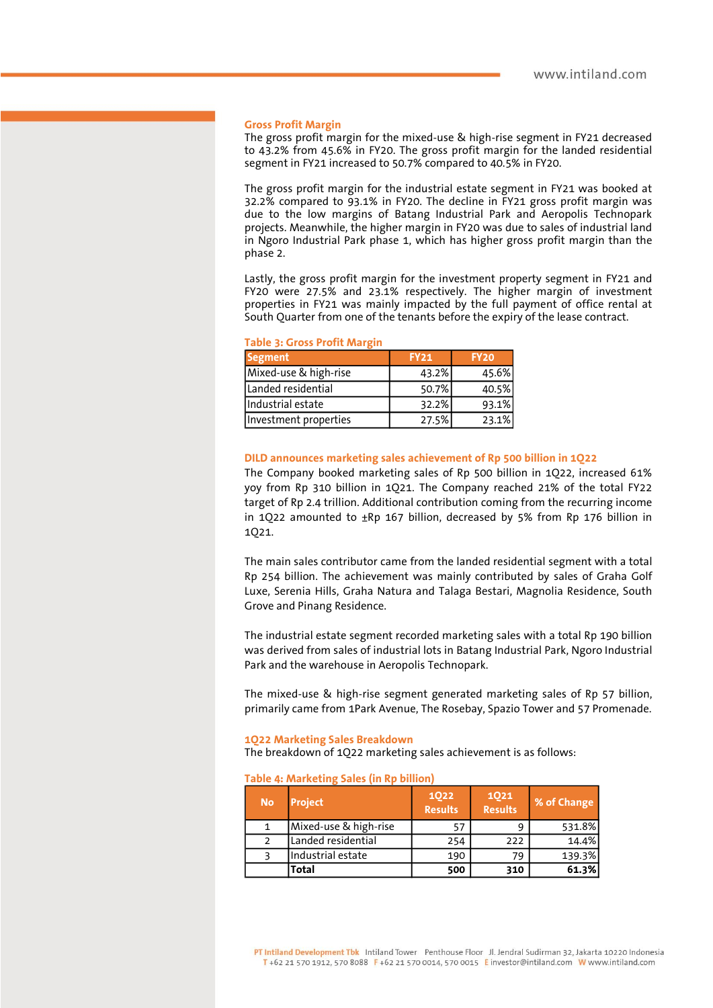#### **Gross Profit Margin**

The gross profit margin for the mixed-use & high-rise segment in FY21 decreased to 43.2% from 45.6% in FY20. The gross profit margin for the landed residential segment in FY21 increased to 50.7% compared to 40.5% in FY20.

The gross profit margin for the industrial estate segment in FY21 was booked at 32.2% compared to 93.1% in FY20. The decline in FY21 gross profit margin was due to the low margins of Batang Industrial Park and Aeropolis Technopark projects. Meanwhile, the higher margin in FY20 was due to sales of industrial land in Ngoro Industrial Park phase 1, which has higher gross profit margin than the phase 2.

Lastly, the gross profit margin for the investment property segment in FY21 and FY20 were 27.5% and 23.1% respectively. The higher margin of investment properties in FY21 was mainly impacted by the full payment of office rental at South Quarter from one of the tenants before the expiry of the lease contract.

#### **Table 3: Gross Profit Margin**

| <b>Segment</b>        | <b>FY21</b> | <b>FY20</b> |  |  |
|-----------------------|-------------|-------------|--|--|
| Mixed-use & high-rise | 43.2%       | 45.6%       |  |  |
| Landed residential    | 50.7%       | 40.5%       |  |  |
| Industrial estate     | 32.2%       | 93.1%       |  |  |
| Investment properties | 27.5%       | 23.1%       |  |  |

#### **DILD announces marketing sales achievement of Rp 500 billion in 1Q22**

The Company booked marketing sales of Rp 500 billion in 1Q22, increased 61% yoy from Rp 310 billion in 1Q21. The Company reached 21% of the total FY22 target of Rp 2.4 trillion. Additional contribution coming from the recurring income in 1Q22 amounted to ±Rp 167 billion, decreased by 5% from Rp 176 billion in 1Q21.

The main sales contributor came from the landed residential segment with a total Rp 254 billion. The achievement was mainly contributed by sales of Graha Golf Luxe, Serenia Hills, Graha Natura and Talaga Bestari, Magnolia Residence, South Grove and Pinang Residence.

The industrial estate segment recorded marketing sales with a total Rp 190 billion was derived from sales of industrial lots in Batang Industrial Park, Ngoro Industrial Park and the warehouse in Aeropolis Technopark.

The mixed-use & high-rise segment generated marketing sales of Rp 57 billion, primarily came from 1Park Avenue, The Rosebay, Spazio Tower and 57 Promenade.

#### **1Q22 Marketing Sales Breakdown**

The breakdown of 1Q22 marketing sales achievement is as follows:

#### **Table 4: Marketing Sales (in Rp billion)**

| <b>No</b> | <b>Project</b>        | <b>1Q22</b><br><b>Results</b> | 1021<br><b>Results</b> | % of Change |
|-----------|-----------------------|-------------------------------|------------------------|-------------|
|           | Mixed-use & high-rise | 57                            | q                      | 531.8%      |
|           | Landed residential    | 254                           | 222                    | 14.4%       |
|           | Industrial estate     | 190                           | 79                     | 139.3%      |
|           | Total                 | 500                           | 310                    | 61.3%       |